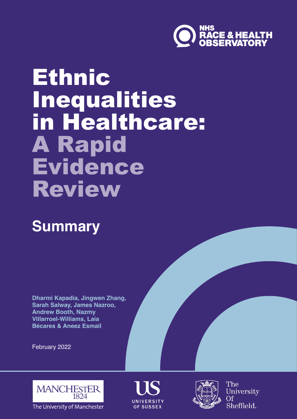

# **Ethnic** Inequalities in Healthcare: A Rapid Evidence Review

# **Summary**

**Dharmi Kapadia, Jingwen Zhang, Sarah Salway, James Nazroo, Andrew Booth, Nazmy Villarroel-Williams, Laia Bécares & Aneez Esmail**

February 2022



The University of Manchester





The University Of Sheffield.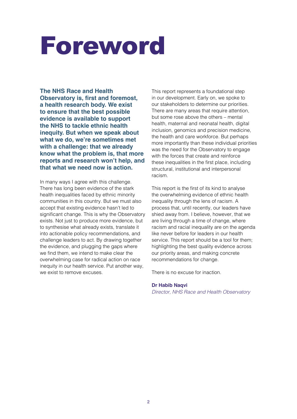# Foreword

**The NHS Race and Health Observatory is, first and foremost, a health research body. We exist to ensure that the best possible evidence is available to support the NHS to tackle ethnic health inequity. But when we speak about what we do, we're sometimes met with a challenge: that we already know what the problem is, that more reports and research won't help, and that what we need now is action.** 

In many ways I agree with this challenge. There has long been evidence of the stark health inequalities faced by ethnic minority communities in this country. But we must also accept that existing evidence hasn't led to significant change. This is why the Observatory exists. Not just to produce more evidence, but to synthesise what already exists, translate it into actionable policy recommendations, and challenge leaders to act. By drawing together the evidence, and plugging the gaps where we find them, we intend to make clear the overwhelming case for radical action on race inequity in our health service. Put another way, we exist to remove excuses.

This report represents a foundational step in our development. Early on, we spoke to our stakeholders to determine our priorities. There are many areas that require attention. but some rose above the others – mental health, maternal and neonatal health, digital inclusion, genomics and precision medicine. the health and care workforce. But perhaps more importantly than these individual priorities was the need for the Observatory to engage with the forces that create and reinforce these inequalities in the first place, including structural, institutional and interpersonal racism.

This report is the first of its kind to analyse the overwhelming evidence of ethnic health inequality through the lens of racism. A process that, until recently, our leaders have shied away from. I believe, however, that we are living through a time of change, where racism and racial inequality are on the agenda like never before for leaders in our health service. This report should be a tool for them; highlighting the best quality evidence across our priority areas, and making concrete recommendations for change.

There is no excuse for inaction.

#### **Dr Habib Naqvi**

*Director, NHS Race and Health Observatory*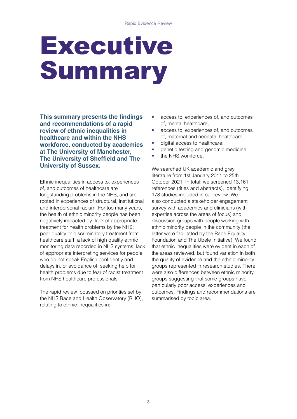# Executive Summary

**This summary presents the findings and recommendations of a rapid review of ethnic inequalities in healthcare and within the NHS workforce, conducted by academics at The University of Manchester, The University of Sheffield and The University of Sussex.** 

Ethnic inequalities in access to, experiences of, and outcomes of healthcare are longstanding problems in the NHS, and are rooted in experiences of structural, institutional and interpersonal racism. For too many years, the health of ethnic minority people has been negatively impacted by: lack of appropriate treatment for health problems by the NHS; poor quality or discriminatory treatment from healthcare staff; a lack of high quality ethnic monitoring data recorded in NHS systems; lack of appropriate interpreting services for people who do not speak English confidently and delays in, or avoidance of, seeking help for health problems due to fear of racist treatment from NHS healthcare professionals.

The rapid review focussed on priorities set by the NHS Race and Health Observatory (RHO), relating to ethnic inequalities in:

- access to, experiences of, and outcomes of, mental healthcare;
- access to, experiences of, and outcomes of, maternal and neonatal healthcare;
- digital access to healthcare;
- genetic testing and genomic medicine;
- the NHS workforce.

We searched UK academic and grey literature from 1st January 2011 to 25th October 2021. In total, we screened 13,161 references (titles and abstracts), identifying 178 studies included in our review. We also conducted a stakeholder engagement survey with academics and clinicians (with expertise across the areas of focus) and discussion groups with people working with ethnic minority people in the community (the latter were facilitated by the Race Equality Foundation and The Ubele Initiative). We found that ethnic inequalities were evident in each of the areas reviewed, but found variation in both the quality of evidence and the ethnic minority groups represented in research studies. There were also differences between ethnic minority groups suggesting that some groups have particularly poor access, experiences and outcomes. Findings and recommendations are summarised by topic area.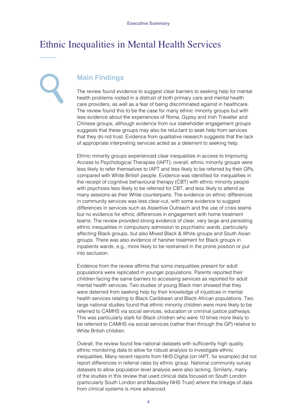## Ethnic Inequalities in Mental Health Services

#### **Main Findings**

The review found evidence to suggest clear barriers to seeking help for mental health problems rooted in a distrust of both primary care and mental health care providers, as well as a fear of being discriminated against in healthcare. The review found this to be the case for many ethnic minority groups but with less evidence about the experiences of Roma, Gypsy and Irish Traveller and Chinese groups, although evidence from our stakeholder engagement groups suggests that these groups may also be reluctant to seek help from services that they do not trust. Evidence from qualitative research suggests that the lack of appropriate interpreting services acted as a deterrent to seeking help.

Ethnic minority groups experienced clear inequalities in access to Improving Access to Psychological Therapies (IAPT); overall, ethnic minority groups were less likely to refer themselves to IAPT and less likely to be referred by their GPs, compared with White British people. Evidence was identified for inequalities in the receipt of cognitive behavioural therapy (CBT) with ethnic minority people with psychosis less likely to be referred for CBT, and less likely to attend as many sessions as their White counterparts. The evidence on ethnic differences in community services was less clear-cut, with some evidence to suggest differences in services such as Assertive Outreach and the use of crisis teams but no evidence for ethnic differences in engagement with home treatment teams. The review provided strong evidence of clear, very large and persisting ethnic inequalities in compulsory admission to psychiatric wards, particularly affecting Black groups, but also Mixed Black & White groups and South Asian groups. There was also evidence of harsher treatment for Black groups in inpatients wards, e.g., more likely to be restrained in the prone position or put into seclusion.

Evidence from the review affirms that some inequalities present for adult populations were replicated in younger populations. Parents reported their children facing the same barriers to accessing services as reported for adult mental health services. Two studies of young Black men showed that they were deterred from seeking help by their knowledge of injustices in mental health services relating to Black Caribbean and Black African populations. Two large national studies found that ethnic minority children were more likely to be referred to CAMHS via social services, education or criminal justice pathways. This was particularly stark for Black children who were 10 times more likely to be referred to CAMHS via social services (rather than through the GP) relative to White British children.

Overall, the review found few national datasets with sufficiently high quality ethnic monitoring data to allow for robust analysis to investigate ethnic inequalities. Many recent reports from NHS Digital (on IAPT, for example) did not report differences in referral rates by ethnic group. National community survey datasets to allow population level analysis were also lacking. Similarly, many of the studies in this review that used clinical data focused on South London (particularly South London and Maudsley NHS Trust) where the linkage of data from clinical systems is more advanced.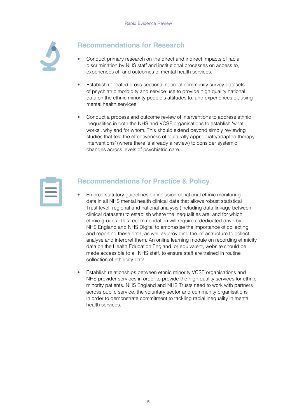

#### **Recommendations for Research**

- Conduct primary research on the direct and indirect impacts of racial discrimination by NHS staff and institutional processes on access to, experiences of, and outcomes of mental health services.
- Establish repeated cross-sectional national community survey datasets of psychiatric morbidity and service use to provide high quality national data on the ethnic minority people's attitudes to, and experiences of, using mental health services.
- Conduct a process and outcome review of interventions to address ethnic inequalities in both the NHS and VCSE organisations to establish 'what works', why and for whom. This should extend beyond simply reviewing studies that test the effectiveness of 'culturally appropriate/adapted therapy interventions' (where there is already a review) to consider systemic changes across levels of psychiatric care.

#### **Recommendations for Practice & Policy**

- Enforce statutory guidelines on inclusion of national ethnic monitoring data in all NHS mental health clinical data that allows robust statistical Trust-level, regional and national analysis (including data linkage between clinical datasets) to establish where the inequalities are, and for which ethnic groups. This recommendation will require a dedicated drive by NHS England and NHS Digital to emphasise the importance of collecting and reporting these data, as well as providing the infrastructure to collect, analyse and interpret them. An online learning module on recording ethnicity data on the Health Education England, or equivalent, website should be made accessible to all NHS staff, to ensure staff are trained in routine collection of ethnicity data.
- Establish relationships between ethnic minority VCSE organisations and NHS provider services in order to provide the high quality services for ethnic minority patients. NHS England and NHS Trusts need to work with partners across public service, the voluntary sector and community organisations in order to demonstrate commitment to tackling racial inequality in mental health services.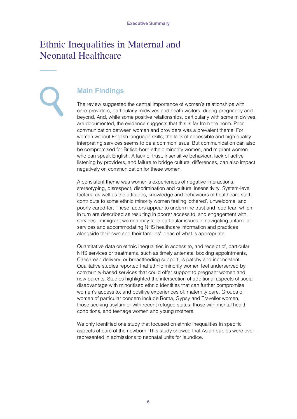### Ethnic Inequalities in Maternal and Neonatal Healthcare

#### **Main Findings**

The review suggested the central importance of women's relationships with care-providers, particularly midwives and heath visitors, during pregnancy and beyond. And, while some positive relationships, particularly with some midwives, are documented, the evidence suggests that this is far from the norm. Poor communication between women and providers was a prevalent theme. For women without English language skills, the lack of accessible and high quality interpreting services seems to be a common issue. But communication can also be compromised for British-born ethnic minority women, and migrant women who can speak English. A lack of trust, insensitive behaviour, lack of active listening by providers, and failure to bridge cultural differences, can also impact negatively on communication for these women.

A consistent theme was women's experiences of negative interactions, stereotyping, disrespect, discrimination and cultural insensitivity. System-level factors, as well as the attitudes, knowledge and behaviours of healthcare staff, contribute to some ethnic minority women feeling 'othered', unwelcome, and poorly cared-for. These factors appear to undermine trust and feed fear, which in turn are described as resulting in poorer access to, and engagement with, services. Immigrant women may face particular issues in navigating unfamiliar services and accommodating NHS healthcare information and practices alongside their own and their families' ideas of what is appropriate.

Quantitative data on ethnic inequalities in access to, and receipt of, particular NHS services or treatments, such as timely antenatal booking appointments, Caesarean delivery, or breastfeeding support, is patchy and inconsistent. Qualitative studies reported that ethnic minority women feel underserved by community-based services that could offer support to pregnant women and new parents. Studies highlighted the intersection of additional aspects of social disadvantage with minoritised ethnic identities that can further compromise women's access to, and positive experiences of, maternity care. Groups of women of particular concern include Roma, Gypsy and Traveller women, those seeking asylum or with recent refugee status, those with mental health conditions, and teenage women and young mothers.

We only identified one study that focused on ethnic inequalities in specific aspects of care of the newborn. This study showed that Asian babies were overrepresented in admissions to neonatal units for jaundice.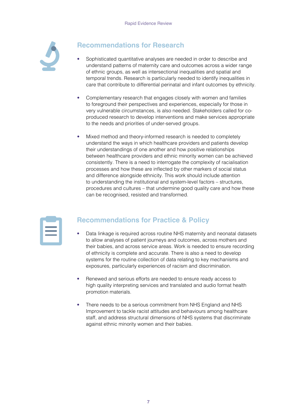

#### **Recommendations for Research**

- Sophisticated quantitative analyses are needed in order to describe and understand patterns of maternity care and outcomes across a wider range of ethnic groups, as well as intersectional inequalities and spatial and temporal trends. Research is particularly needed to identify inequalities in care that contribute to differential perinatal and infant outcomes by ethnicity.
- Complementary research that engages closely with women and families to foreground their perspectives and experiences, especially for those in very vulnerable circumstances, is also needed. Stakeholders called for coproduced research to develop interventions and make services appropriate to the needs and priorities of under-served groups.
- Mixed method and theory-informed research is needed to completely understand the ways in which healthcare providers and patients develop their understandings of one another and how positive relationships between healthcare providers and ethnic minority women can be achieved consistently. There is a need to interrogate the complexity of racialisation processes and how these are inflected by other markers of social status and difference alongside ethnicity. This work should include attention to understanding the institutional and system-level factors – structures, procedures and cultures – that undermine good quality care and how these can be recognised, resisted and transformed.

#### **Recommendations for Practice & Policy**

- Data linkage is required across routine NHS maternity and neonatal datasets to allow analyses of patient journeys and outcomes, across mothers and their babies, and across service areas. Work is needed to ensure recording of ethnicity is complete and accurate. There is also a need to develop systems for the routine collection of data relating to key mechanisms and exposures, particularly experiences of racism and discrimination.
- Renewed and serious efforts are needed to ensure ready access to high quality interpreting services and translated and audio format health promotion materials.
- There needs to be a serious commitment from NHS England and NHS Improvement to tackle racist attitudes and behaviours among healthcare staff, and address structural dimensions of NHS systems that discriminate against ethnic minority women and their babies.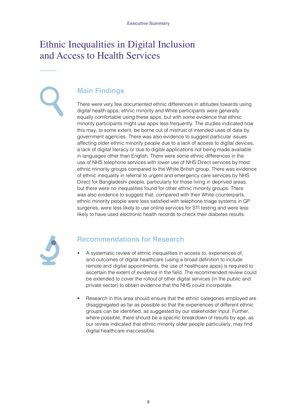## Ethnic Inequalities in Digital Inclusion and Access to Health Services

#### **Main Findings**

There were very few documented ethnic differences in attitudes towards using digital health apps; ethnic minority and White participants were generally equally comfortable using these apps, but with some evidence that ethnic minority participants might use apps less frequently. The studies indicated how this may, to some extent, be borne out of mistrust of intended uses of data by government agencies. There was also evidence to suggest particular issues affecting older ethnic minority people due to a lack of access to digital devices, a lack of digital literacy or due to digital applications not being made available in languages other than English. There were some ethnic differences in the use of NHS telephone services with lower use of NHS Direct services by most ethnic minority groups compared to the White British group. There was evidence of ethnic inequality in referral to urgent and emergency care services by NHS Direct for Bangladeshi people, particularly for those living in deprived areas, but there were no inequalities found for other ethnic minority groups. There was also evidence to suggest that, compared with their White counterparts, ethnic minority people were less satisfied with telephone triage systems in GP surgeries, were less likely to use online services for STI testing and were less likely to have used electronic health records to check their diabetes results.



#### **Recommendations for Research**

- A systematic review of ethnic inequalities in access to, experiences of, and outcomes of digital healthcare (using a broad definition to include remote and digital appointments, the use of healthcare apps) is required to ascertain the extent of evidence in the field. The recommended review could be extended to cover the rollout of other digital services (in the public and private sector) to obtain evidence that the NHS could incorporate.
- Research in this area should ensure that the ethnic categories employed are disaggregated as far as possible so that the experiences of different ethnic groups can be identified, as suggested by our stakeholder input. Further, where possible, there should be a specific breakdown of results by age, as our review indicated that ethnic minority older people particularly, may find digital healthcare inaccessible.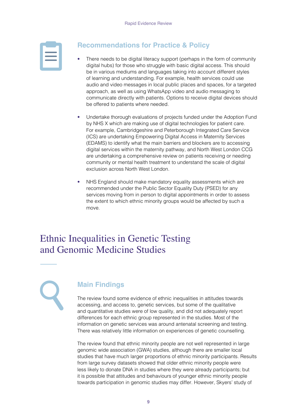#### **Recommendations for Practice & Policy**

- There needs to be digital literacy support (perhaps in the form of community digital hubs) for those who struggle with basic digital access. This should be in various mediums and languages taking into account different styles of learning and understanding. For example, health services could use audio and video messages in local public places and spaces, for a targeted approach, as well as using WhatsApp video and audio messaging to communicate directly with patients. Options to receive digital devices should be offered to patients where needed.
- Undertake thorough evaluations of projects funded under the Adoption Fund by NHS X which are making use of digital technologies for patient care. For example, Cambridgeshire and Peterborough Integrated Care Service (ICS) are undertaking Empowering Digital Access in Maternity Services (EDAMS) to identify what the main barriers and blockers are to accessing digital services within the maternity pathway, and North West London CCG are undertaking a comprehensive review on patients receiving or needing community or mental health treatment to understand the scale of digital exclusion across North West London.
- NHS England should make mandatory equality assessments which are recommended under the Public Sector Equality Duty (PSED) for any services moving from in person to digital appointments in order to assess the extent to which ethnic minority groups would be affected by such a move.

# Ethnic Inequalities in Genetic Testing and Genomic Medicine Studies

#### **Main Findings**

The review found some evidence of ethnic inequalities in attitudes towards accessing, and access to, genetic services, but some of the qualitative and quantitative studies were of low quality, and did not adequately report differences for each ethnic group represented in the studies. Most of the information on genetic services was around antenatal screening and testing. There was relatively little information on experiences of genetic counselling.

The review found that ethnic minority people are not well represented in large genomic wide association (GWA) studies, although there are smaller local studies that have much larger proportions of ethnic minority participants. Results from large survey datasets showed that older ethnic minority people were less likely to donate DNA in studies where they were already participants; but it is possible that attitudes and behaviours of younger ethnic minority people towards participation in genomic studies may differ. However, Skyers' study of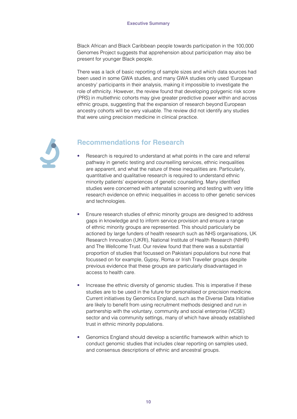Black African and Black Caribbean people towards participation in the 100,000 Genomes Project suggests that apprehension about participation may also be present for younger Black people.

There was a lack of basic reporting of sample sizes and which data sources had been used in some GWA studies, and many GWA studies only used 'European ancestry' participants in their analysis, making it impossible to investigate the role of ethnicity. However, the review found that developing polygenic risk score (PRS) in multiethnic cohorts may give greater predictive power within and across ethnic groups, suggesting that the expansion of research beyond European ancestry cohorts will be very valuable. The review did not identify any studies that were using precision medicine in clinical practice.



#### **Recommendations for Research**

- Research is required to understand at what points in the care and referral pathway in genetic testing and counselling services, ethnic inequalities are apparent, and what the nature of these inequalities are. Particularly, quantitative and qualitative research is required to understand ethnic minority patients' experiences of genetic counselling. Many identified studies were concerned with antenatal screening and testing with very little research evidence on ethnic inequalities in access to other genetic services and technologies.
- Ensure research studies of ethnic minority groups are designed to address gaps in knowledge and to inform service provision and ensure a range of ethnic minority groups are represented. This should particularly be actioned by large funders of health research such as NHS organisations, UK Research Innovation (UKRI), National Institute of Health Research (NIHR) and The Wellcome Trust. Our review found that there was a substantial proportion of studies that focussed on Pakistani populations but none that focussed on for example, Gypsy, Roma or Irish Traveller groups despite previous evidence that these groups are particularly disadvantaged in access to health care.
- Increase the ethnic diversity of genomic studies. This is imperative if these studies are to be used in the future for personalised or precision medicine. Current initiatives by Genomics England, such as the Diverse Data Initiative are likely to benefit from using recruitment methods designed and run in partnership with the voluntary, community and social enterprise (VCSE) sector and via community settings, many of which have already established trust in ethnic minority populations.
- Genomics England should develop a scientific framework within which to conduct genomic studies that includes clear reporting on samples used, and consensus descriptions of ethnic and ancestral groups.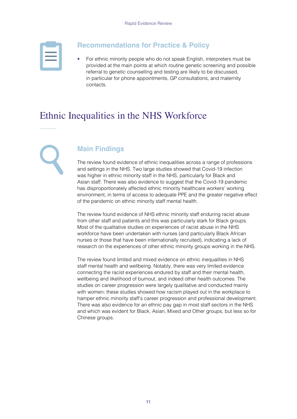#### **Recommendations for Practice & Policy**

• For ethnic minority people who do not speak English, interpreters must be provided at the main points at which routine genetic screening and possible referral to genetic counselling and testing are likely to be discussed, in particular for phone appointments, GP consultations, and maternity contacts.

## Ethnic Inequalities in the NHS Workforce

#### **Main Findings**

The review found evidence of ethnic inequalities across a range of professions and settings in the NHS. Two large studies showed that Covid-19 infection was higher in ethnic minority staff in the NHS, particularly for Black and Asian staff. There was also evidence to suggest that the Covid-19 pandemic has disproportionately affected ethnic minority healthcare workers' working environment, in terms of access to adequate PPE and the greater negative effect of the pandemic on ethnic minority staff mental health.

The review found evidence of NHS ethnic minority staff enduring racist abuse from other staff and patients and this was particularly stark for Black groups. Most of the qualitative studies on experiences of racist abuse in the NHS workforce have been undertaken with nurses (and particularly Black African nurses or those that have been internationally recruited), indicating a lack of research on the experiences of other ethnic minority groups working in the NHS.

The review found limited and mixed evidence on ethnic inequalities in NHS staff mental health and wellbeing. Notably, there was very limited evidence connecting the racist experiences endured by staff and their mental health, wellbeing and likelihood of burnout, and indeed other health outcomes. The studies on career progression were largely qualitative and conducted mainly with women; these studies showed how racism played out in the workplace to hamper ethnic minority staff's career progression and professional development. There was also evidence for an ethnic pay gap in most staff sectors in the NHS and which was evident for Black, Asian, Mixed and Other groups, but less so for Chinese groups.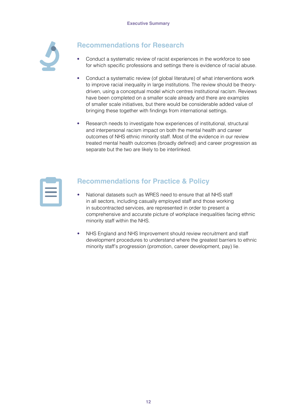

#### **Recommendations for Research**

- Conduct a systematic review of racist experiences in the workforce to see for which specific professions and settings there is evidence of racial abuse.
- Conduct a systematic review (of global literature) of what interventions work to improve racial inequality in large institutions. The review should be theorydriven, using a conceptual model which centres institutional racism. Reviews have been completed on a smaller scale already and there are examples of smaller scale initiatives, but there would be considerable added value of bringing these together with findings from international settings.
- Research needs to investigate how experiences of institutional, structural and interpersonal racism impact on both the mental health and career outcomes of NHS ethnic minority staff. Most of the evidence in our review treated mental health outcomes (broadly defined) and career progression as separate but the two are likely to be interlinked.

#### **Recommendations for Practice & Policy**

- National datasets such as WRES need to ensure that all NHS staff in all sectors, including casually employed staff and those working in subcontracted services, are represented in order to present a comprehensive and accurate picture of workplace inequalities facing ethnic minority staff within the NHS.
- NHS England and NHS Improvement should review recruitment and staff development procedures to understand where the greatest barriers to ethnic minority staff's progression (promotion, career development, pay) lie.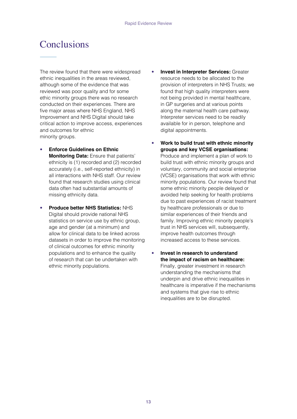## **Conclusions**

The review found that there were widespread ethnic inequalities in the areas reviewed, although some of the evidence that was reviewed was poor quality and for some ethic minority groups there was no research conducted on their experiences. There are five major areas where NHS England, NHS Improvement and NHS Digital should take critical action to improve access, experiences and outcomes for ethnic minority groups.

- **Enforce Guidelines on Ethnic Monitoring Data:** Ensure that patients' ethnicity is (1) recorded and (2) recorded accurately (i.e., self-reported ethnicity) in all interactions with NHS staff. Our review found that research studies using clinical data often had substantial amounts of missing ethnicity data.
- **Produce better NHS Statistics:** NHS Digital should provide national NHS statistics on service use by ethnic group, age and gender (at a minimum) and allow for clinical data to be linked across datasets in order to improve the monitoring of clinical outcomes for ethnic minority populations and to enhance the quality of research that can be undertaken with ethnic minority populations.
- **Invest in Interpreter Services:** Greater resource needs to be allocated to the provision of interpreters in NHS Trusts; we found that high quality interpreters were not being provided in mental healthcare, in GP surgeries and at various points along the maternal health care pathway. Interpreter services need to be readily available for in person, telephone and digital appointments.
- **Work to build trust with ethnic minority groups and key VCSE organisations:**

Produce and implement a plan of work to build trust with ethnic minority groups and voluntary, community and social enterprise (VCSE) organisations that work with ethnic minority populations. Our review found that some ethnic minority people delayed or avoided help seeking for health problems due to past experiences of racist treatment by healthcare professionals or due to similar experiences of their friends and family. Improving ethnic minority people's trust in NHS services will, subsequently, improve health outcomes through increased access to these services.

• **Invest in research to understand the impact of racism on healthcare:**  Finally, greater investment in research understanding the mechanisms that underpin and drive ethnic inequalities in healthcare is imperative if the mechanisms and systems that give rise to ethnic inequalities are to be disrupted.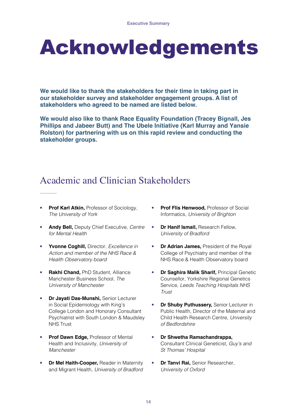# Acknowledgements

**We would like to thank the stakeholders for their time in taking part in our stakeholder survey and stakeholder engagement groups. A list of stakeholders who agreed to be named are listed below.** 

**We would also like to thank Race Equality Foundation (Tracey Bignall, Jes Phillips and Jabeer Butt) and The Ubele Initiative (Karl Murray and Yansie Rolston) for partnering with us on this rapid review and conducting the stakeholder groups.** 

# Academic and Clinician Stakeholders

- **Prof Karl Atkin, Professor of Sociology,** *The University of York*
- **Andy Bell,** Deputy Chief Executive, *Centre for Mental Health*
- **Yvonne Coghill,** Director, *Excellence in Action and member of the NHS Race & Health Observatory board*
- **Rakhi Chand,** PhD Student, Alliance Manchester Business School, *The University of Manchester*
- **Dr Jayati Das-Munshi,** Senior Lecturer in Social Epidemiology with King's College London and Honorary Consultant Psychiatrist with South London & Maudsley NHS Trust
- **Prof Dawn Edge, Professor of Mental** Health and Inclusivity, *University of Manchester*
- **Dr Mel Haith-Cooper,** Reader in Maternity and Migrant Health, *University of Bradford*
- **Prof Flis Henwood,** Professor of Social Informatics, *University of Brighton*
- **Dr Hanif Ismail,** Research Fellow, *University of Bradford*
- **Dr Adrian James,** President of the Royal College of Psychiatry and member of the NHS Race & Health Observatory board
- **Dr Saghira Malik Sharif,** Principal Genetic Counsellor, Yorkshire Regional Genetics Service, *Leeds Teaching Hospitals NHS Trust*
- **Dr Shuby Puthussery,** Senior Lecturer in Public Health, Director of the Maternal and Child Health Research Centre, *University of Bedfordshire*
- **Dr Shwetha Ramachandrappa,** Consultant Clinical Geneticist, *Guy's and St Thomas' Hospital*
- **Dr Tanvi Rai, Senior Researcher,** *University of Oxford*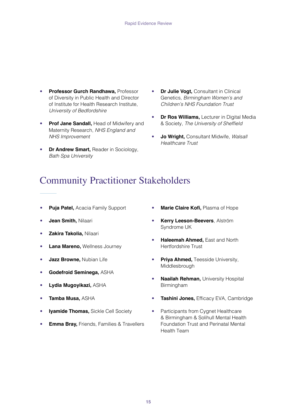- **Professor Gurch Randhawa,** Professor of Diversity in Public Health and Director of Institute for Health Research Institute, *University of Bedfordshire*
- **Prof Jane Sandall, Head of Midwifery and** Maternity Research, *NHS England and NHS Improvement*
- **Dr Andrew Smart,** Reader in Sociology, *Bath Spa University*
- **Dr Julie Vogt,** Consultant in Clinical Genetics, *Birmingham Women's and Children's NHS Foundation Trust*
- **Dr Ros Williams,** Lecturer in Digital Media & Society, The University of Sheffield
- **Jo Wright,** Consultant Midwife, *Walsall Healthcare Trust*

# Community Practitioner Stakeholders

- **Puja Patel,** Acacia Family Support
- **Jean Smith,** Nilaari
- **Zakira Takolia,** Nilaari
- **Lana Mareno,** Wellness Journey
- **Jazz Browne,** Nubian Life
- **Godefroid Seminega,** ASHA
- **Lydia Mugoyikazi,** ASHA
- **Tamba Musa,** ASHA
- **Iyamide Thomas,** Sickle Cell Society
- **Emma Bray,** Friends, Families & Travellers
- **Marie Claire Kofi,** Plasma of Hope
- **Kerry Leeson-Beevers**, Alström Syndrome UK
- **Haleemah Ahmed,** East and North Hertfordshire Trust
- **Priya Ahmed,** Teesside University, Middlesbrough
- **Naailah Rehman,** University Hospital Birmingham
- **Tashini Jones,** Efficacy EVA, Cambridge
- Participants from Cygnet Healthcare & Birmingham & Solihull Mental Health Foundation Trust and Perinatal Mental Health Team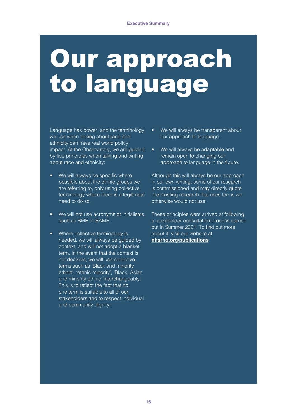# Our approach to language

Language has power, and the terminology we use when talking about race and ethnicity can have real world policy impact. At the Observatory, we are guided by five principles when talking and writing about race and ethnicity:

- We will always be specific where possible about the ethnic groups we are referring to, only using collective terminology where there is a legitimate need to do so.
- We will not use acronyms or initialisms such as BME or BAME.
- Where collective terminology is needed, we will always be guided by context, and will not adopt a blanket term. In the event that the context is not decisive, we will use collective terms such as 'Black and minority ethnic', 'ethnic minority', 'Black, Asian and minority ethnic' interchangeably. This is to reflect the fact that no one term is suitable to all of our stakeholders and to respect individual and community dignity.
- We will always be transparent about our approach to language.
- We will always be adaptable and remain open to changing our approach to language in the future.

Although this will always be our approach in our own writing, some of our research is commissioned and may directly quote pre-existing research that uses terms we otherwise would not use.

These principles were arrived at following a stakeholder consultation process carried out in Summer 2021. To find out more about it, visit our website at **[nhsrho.org/publications](https://www.nhsrho.org/publications/)**